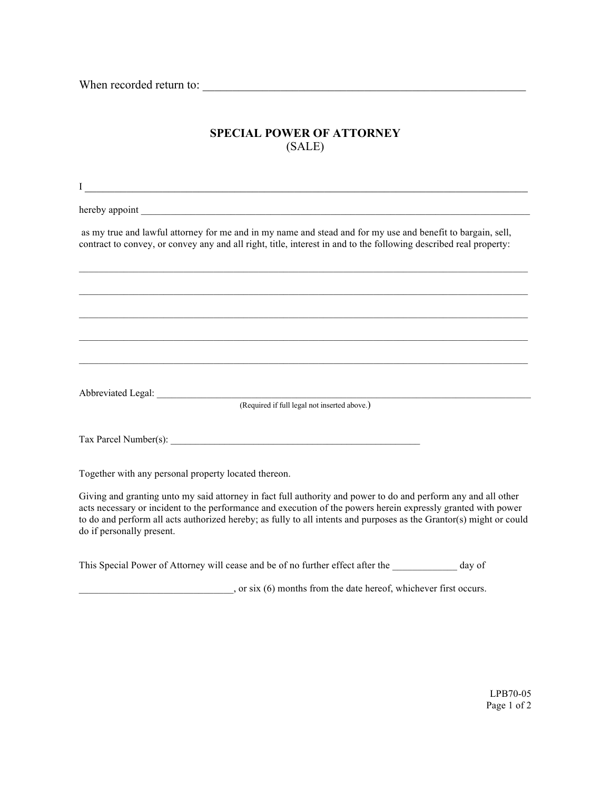When recorded return to:

## **SPECIAL POWER OF ATTORNEY** (SALE)

| $\bf{I}$<br><u> 1989 - Johann John Stone, market fan it ferskearre fan it ferskearre fan it ferskearre fan it ferskearre fan i</u>                                                                                                                                                                                                                                                  |
|-------------------------------------------------------------------------------------------------------------------------------------------------------------------------------------------------------------------------------------------------------------------------------------------------------------------------------------------------------------------------------------|
|                                                                                                                                                                                                                                                                                                                                                                                     |
| as my true and lawful attorney for me and in my name and stead and for my use and benefit to bargain, sell,<br>contract to convey, or convey any and all right, title, interest in and to the following described real property:                                                                                                                                                    |
|                                                                                                                                                                                                                                                                                                                                                                                     |
|                                                                                                                                                                                                                                                                                                                                                                                     |
| ,我们也不会有什么。""我们的人,我们也不会有什么?""我们的人,我们也不会有什么?""我们的人,我们也不会有什么?""我们的人,我们也不会有什么?""我们的人                                                                                                                                                                                                                                                                                                    |
|                                                                                                                                                                                                                                                                                                                                                                                     |
| (Required if full legal not inserted above.)                                                                                                                                                                                                                                                                                                                                        |
|                                                                                                                                                                                                                                                                                                                                                                                     |
|                                                                                                                                                                                                                                                                                                                                                                                     |
| Together with any personal property located thereon.                                                                                                                                                                                                                                                                                                                                |
| Giving and granting unto my said attorney in fact full authority and power to do and perform any and all other<br>acts necessary or incident to the performance and execution of the powers herein expressly granted with power<br>to do and perform all acts authorized hereby; as fully to all intents and purposes as the Grantor(s) might or could<br>do if personally present. |

This Special Power of Attorney will cease and be of no further effect after the \_\_\_\_\_\_\_\_\_\_\_\_\_ day of

\_\_\_\_\_\_\_\_\_\_\_\_\_\_\_\_\_\_\_\_\_\_\_\_\_\_\_\_\_\_\_, or six (6) months from the date hereof, whichever first occurs.